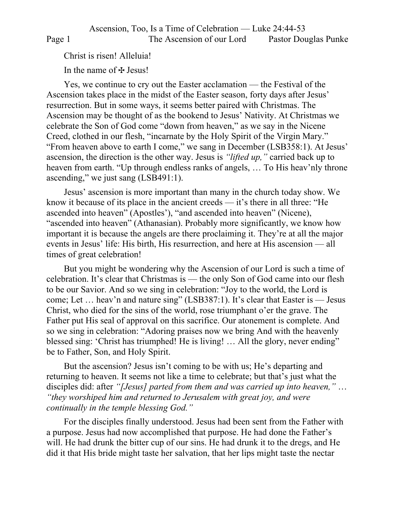Christ is risen! Alleluia!

In the name of  $\pm$  Jesus!

Yes, we continue to cry out the Easter acclamation — the Festival of the Ascension takes place in the midst of the Easter season, forty days after Jesus' resurrection. But in some ways, it seems better paired with Christmas. The Ascension may be thought of as the bookend to Jesus' Nativity. At Christmas we celebrate the Son of God come "down from heaven," as we say in the Nicene Creed, clothed in our flesh, "incarnate by the Holy Spirit of the Virgin Mary." "From heaven above to earth I come," we sang in December (LSB358:1). At Jesus' ascension, the direction is the other way. Jesus is *"lifted up,"* carried back up to heaven from earth. "Up through endless ranks of angels, … To His heav'nly throne ascending," we just sang (LSB491:1).

Jesus' ascension is more important than many in the church today show. We know it because of its place in the ancient creeds — it's there in all three: "He ascended into heaven" (Apostles'), "and ascended into heaven" (Nicene), "ascended into heaven" (Athanasian). Probably more significantly, we know how important it is because the angels are there proclaiming it. They're at all the major events in Jesus' life: His birth, His resurrection, and here at His ascension — all times of great celebration!

But you might be wondering why the Ascension of our Lord is such a time of celebration. It's clear that Christmas is — the only Son of God came into our flesh to be our Savior. And so we sing in celebration: "Joy to the world, the Lord is come; Let … heav'n and nature sing" (LSB387:1). It's clear that Easter is — Jesus Christ, who died for the sins of the world, rose triumphant o'er the grave. The Father put His seal of approval on this sacrifice. Our atonement is complete. And so we sing in celebration: "Adoring praises now we bring And with the heavenly blessed sing: 'Christ has triumphed! He is living! … All the glory, never ending" be to Father, Son, and Holy Spirit.

But the ascension? Jesus isn't coming to be with us; He's departing and returning to heaven. It seems not like a time to celebrate; but that's just what the disciples did: after *"[Jesus] parted from them and was carried up into heaven,"* … *"they worshiped him and returned to Jerusalem with great joy, and were continually in the temple blessing God."*

For the disciples finally understood. Jesus had been sent from the Father with a purpose. Jesus had now accomplished that purpose. He had done the Father's will. He had drunk the bitter cup of our sins. He had drunk it to the dregs, and He did it that His bride might taste her salvation, that her lips might taste the nectar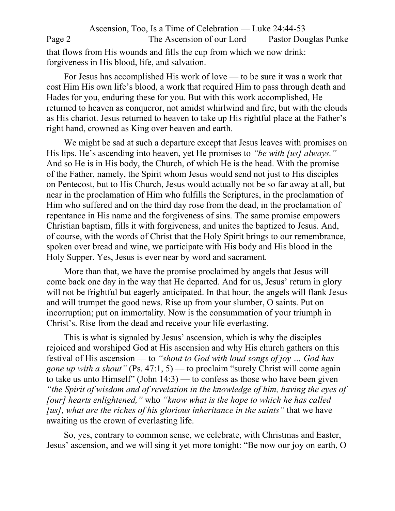Ascension, Too, Is a Time of Celebration — Luke 24:44-53 Page 2 The Ascension of our Lord Pastor Douglas Punke that flows from His wounds and fills the cup from which we now drink: forgiveness in His blood, life, and salvation.

For Jesus has accomplished His work of love — to be sure it was a work that cost Him His own life's blood, a work that required Him to pass through death and Hades for you, enduring these for you. But with this work accomplished, He returned to heaven as conqueror, not amidst whirlwind and fire, but with the clouds as His chariot. Jesus returned to heaven to take up His rightful place at the Father's right hand, crowned as King over heaven and earth.

We might be sad at such a departure except that Jesus leaves with promises on His lips. He's ascending into heaven, yet He promises to *"be with [us] always."* And so He is in His body, the Church, of which He is the head. With the promise of the Father, namely, the Spirit whom Jesus would send not just to His disciples on Pentecost, but to His Church, Jesus would actually not be so far away at all, but near in the proclamation of Him who fulfills the Scriptures, in the proclamation of Him who suffered and on the third day rose from the dead, in the proclamation of repentance in His name and the forgiveness of sins. The same promise empowers Christian baptism, fills it with forgiveness, and unites the baptized to Jesus. And, of course, with the words of Christ that the Holy Spirit brings to our remembrance, spoken over bread and wine, we participate with His body and His blood in the Holy Supper. Yes, Jesus is ever near by word and sacrament.

More than that, we have the promise proclaimed by angels that Jesus will come back one day in the way that He departed. And for us, Jesus' return in glory will not be frightful but eagerly anticipated. In that hour, the angels will flank Jesus and will trumpet the good news. Rise up from your slumber, O saints. Put on incorruption; put on immortality. Now is the consummation of your triumph in Christ's. Rise from the dead and receive your life everlasting.

This is what is signaled by Jesus' ascension, which is why the disciples rejoiced and worshiped God at His ascension and why His church gathers on this festival of His ascension — to *"shout to God with loud songs of joy … God has gone up with a shout"* (Ps. 47:1, 5) — to proclaim "surely Christ will come again to take us unto Himself" (John 14:3) — to confess as those who have been given *"the Spirit of wisdom and of revelation in the knowledge of him, having the eyes of [our] hearts enlightened,"* who *"know what is the hope to which he has called [us], what are the riches of his glorious inheritance in the saints"* that we have awaiting us the crown of everlasting life.

So, yes, contrary to common sense, we celebrate, with Christmas and Easter, Jesus' ascension, and we will sing it yet more tonight: "Be now our joy on earth, O